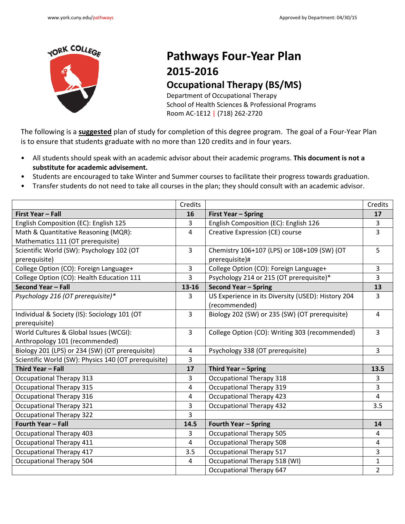

## **Pathways Four-Year Plan 2015-2016 Occupational Therapy (BS/MS)**

Department of Occupational Therapy School of Health Sciences & Professional Programs Room AC-1E12 | (718) 262-2720

The following is a **suggested** plan of study for completion of this degree program. The goal of a Four-Year Plan is to ensure that students graduate with no more than 120 credits and in four years.

- All students should speak with an academic advisor about their academic programs. **This document is not a substitute for academic advisement.**
- Students are encouraged to take Winter and Summer courses to facilitate their progress towards graduation.
- Transfer students do not need to take all courses in the plan; they should consult with an academic advisor.

|                                                      | Credits        |                                                    | Credits        |
|------------------------------------------------------|----------------|----------------------------------------------------|----------------|
| <b>First Year - Fall</b>                             | 16             | <b>First Year - Spring</b>                         | 17             |
| English Composition (EC): English 125                | 3              | English Composition (EC): English 126              | 3              |
| Math & Quantitative Reasoning (MQR):                 | $\overline{4}$ | Creative Expression (CE) course                    | 3              |
| Mathematics 111 (OT prerequisite)                    |                |                                                    |                |
| Scientific World (SW): Psychology 102 (OT            | $\overline{3}$ | Chemistry 106+107 (LPS) or 108+109 (SW) (OT        | 5              |
| prerequisite)                                        |                | prerequisite)#                                     |                |
| College Option (CO): Foreign Language+               | $\overline{3}$ | College Option (CO): Foreign Language+             | $\overline{3}$ |
| College Option (CO): Health Education 111            | 3              | Psychology 214 or 215 (OT prerequisite)*           | 3              |
| Second Year - Fall                                   | 13-16          | <b>Second Year - Spring</b>                        | 13             |
| Psychology 216 (OT prerequisite)*                    | 3              | US Experience in its Diversity (USED): History 204 | $\overline{3}$ |
|                                                      |                | (recommended)                                      |                |
| Individual & Society (IS): Sociology 101 (OT         | 3              | Biology 202 (SW) or 235 (SW) (OT prerequisite)     | 4              |
| prerequisite)                                        |                |                                                    |                |
| World Cultures & Global Issues (WCGI):               | $\overline{3}$ | College Option (CO): Writing 303 (recommended)     | $\overline{3}$ |
| Anthropology 101 (recommended)                       |                |                                                    |                |
| Biology 201 (LPS) or 234 (SW) (OT prerequisite)      | $\overline{4}$ | Psychology 338 (OT prerequisite)                   | $\overline{3}$ |
| Scientific World (SW): Physics 140 (OT prerequisite) | 3              |                                                    |                |
| Third Year - Fall                                    | 17             | Third Year - Spring                                | 13.5           |
| <b>Occupational Therapy 313</b>                      | 3              | <b>Occupational Therapy 318</b>                    | 3              |
| <b>Occupational Therapy 315</b>                      | $\overline{4}$ | <b>Occupational Therapy 319</b>                    | 3              |
| <b>Occupational Therapy 316</b>                      | 4              | <b>Occupational Therapy 423</b>                    | 4              |
| <b>Occupational Therapy 321</b>                      | $\overline{3}$ | <b>Occupational Therapy 432</b>                    | 3.5            |
| <b>Occupational Therapy 322</b>                      | $\overline{3}$ |                                                    |                |
| Fourth Year - Fall                                   | 14.5           | <b>Fourth Year - Spring</b>                        | 14             |
| <b>Occupational Therapy 403</b>                      | 3              | <b>Occupational Therapy 505</b>                    | 4              |
| <b>Occupational Therapy 411</b>                      | 4              | <b>Occupational Therapy 508</b>                    | 4              |
| <b>Occupational Therapy 417</b>                      | 3.5            | <b>Occupational Therapy 517</b>                    | 3              |
| <b>Occupational Therapy 504</b>                      | 4              | <b>Occupational Therapy 518 (WI)</b>               | $\mathbf{1}$   |
|                                                      |                | <b>Occupational Therapy 647</b>                    | $\overline{2}$ |